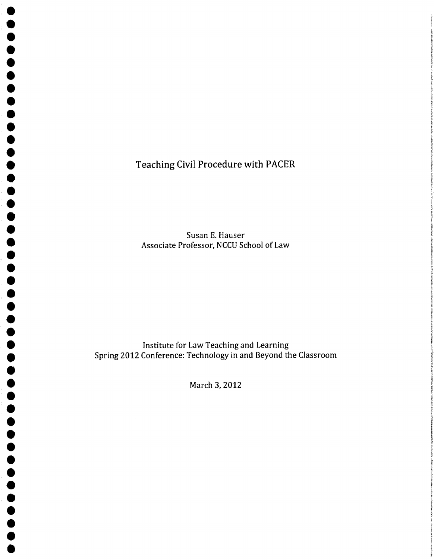Teaching Civil Procedure with PACER

• • • • • • • • • • • • • • • • • • • • • • • • • • •

 $\bullet$ 

 $\begin{array}{c} \bullet \\ \bullet \\ \bullet \end{array}$ 

**OOOOO** 

• • • • • • • • •

•<br>•<br>•

•<br>•

•<br>•

•<br>•

Susan E. Hauser Associate Professor, NCCU School of Law

Institute for Law Teaching and Learning Spring 2012 Conference: Technology in and Beyond the Classroom

March 3, 2012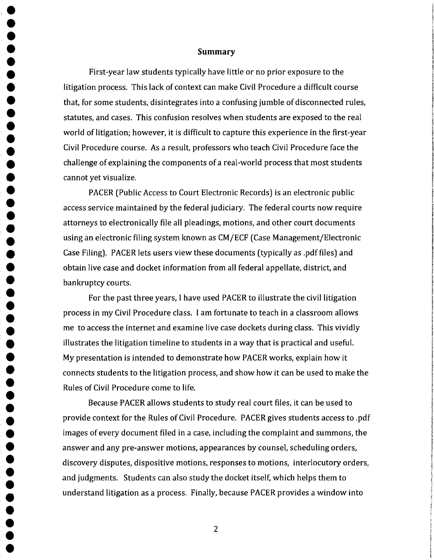#### **Summary**

First-year law students typically have little or no prior exposure to the litigation process. This lack of context can make Civil Procedure a difficult course that, for some students, disintegrates into a confusing jumble of disconnected rules, statutes, and cases. This confusion resolves when students are exposed to the real world of litigation; however, it is difficult to capture this experience in the first-year Civil Procedure course. As a result, professors who teach Civil Procedure face the challenge of explaining the components of a real-world process that most students cannot yet visualize.

• • • • • • • • • • • • • • • • • • • • •

**•**<br>• •<br>•

•<br>•

•<br>•

•<br>•

• •

•<br>•

• •••

•<br>•<br>•

•<br>•

•<br>•

•<br>•

•<br>•

•<br>•

•<br>•<br>•

**•••** 

•<br>•<br>•

PACER (Public Access to Court Electronic Records) is an electronic public access service maintained by the federal judiciary. The federal courts now require attorneys to electronically file all pleadings, motions, and other court documents using an electronic filing system known as CM/ECF (Case Management/Electronic Case Filing). PACER lets users view these documents (typically as .pdf files) and obtain live case and docket information from all federal appellate, district, and bankruptcy courts.

For the past three years, I have used PACER to illustrate the civil litigation process in my Civil Procedure class. I am fortunate to teach in a classroom allows me to access the internet and examine live case dockets during class. This vividly illustrates the litigation timeline to students in a way that is practical and useful. My presentation is intended to demonstrate how PACER works, explain how it connects students to the litigation process, and show how it can be used to make the Rules of Civil Procedure come to life.

l

**PASSA!** 

**International Street** •

**ROMANDARY** 

Because PACER allows students to study real court files, it can be used to provide context for the Rules of Civil Procedure. PACER gives students access to .pdf images of every document filed in a case, including the complaint and summons, the answer and any pre-answer motions, appearances by counsel, scheduling orders, discovery disputes, dispositive motions, responses to motions, interlocutory orders, and judgments. Students can also study the docket itself, which helps them to understand litigation as a process. Finally, because PACER provides a window into

2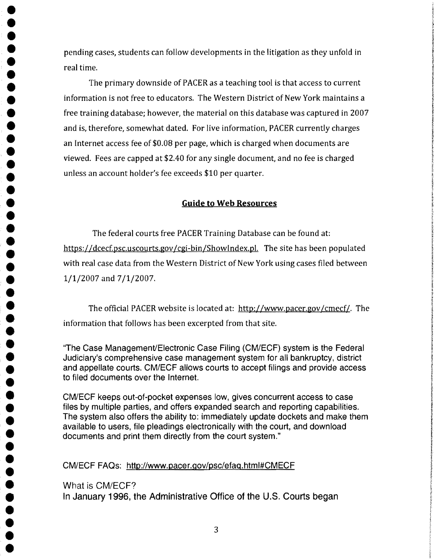• • pending cases, students can follow developments in the litigation as they unfold in real time.

The primary downside of PACER as a teaching tool is that access to current<br>information is not free to educators. The Western District of New York maintains a • information is not free to educators. The Western District of New York maintains a free training database; *however,* the material on this database was captured in 2007 and is, therefore, somewhat dated. For *live* information, PACER currently charges an Internet access fee of \$0.08 per page, which is charged when documents are viewed. Fees are capped at \$2.40 for any single document, and no fee is charged unless an account holder's fee exceeds \$10 per quarter.

• • •

•<br>•<br>•

•<br>•

•<br>•

**•**<br>• **•**<br>• •<br>•

• • • • • • •

•<br>•

• • • • • •

• • • • •

**•**<br>• •<br>•

•<br>•

• • •

•<br>•

**•**<br>• **•**<br>• •

## Guide to Web Resources

The federal courts free PACER Training Database can be found at: https://dcecf.psc.uscourts.gov/cgi-bin/ShowIndex.pl. The site has been populated with real case data from the Western District of New York using cases filed between 1/1/2007 and 7/1/2007.

The official PACER website is located at: http://www.pacer.gov/cmecf/. The information that follows has been excerpted from that site.

"The Case Management/Electronic Case Filing (CM/ECF) system is the Federal Judiciary's comprehensive case management system for all bankruptcy, district and appellate courts. CM/ECF allows courts to accept filings and provide access to tiled documents over the Internet.

CM/ECF keeps out-ot-pocket expenses low, gives concurrent access to case files by multiple parties, and offers expanded search and reporting capabilities. The system also offers the ability to: immediately update dockets and make them available to users, file pleadings electronically with the court, and download documents and print them directly from the court system."

## • CM/ECF FAQs: http://www.pacer.gov/psc/etaq.html#CMECF

What is CM/ECF? In January 1996, the Administrative Office of the U.S. Courts began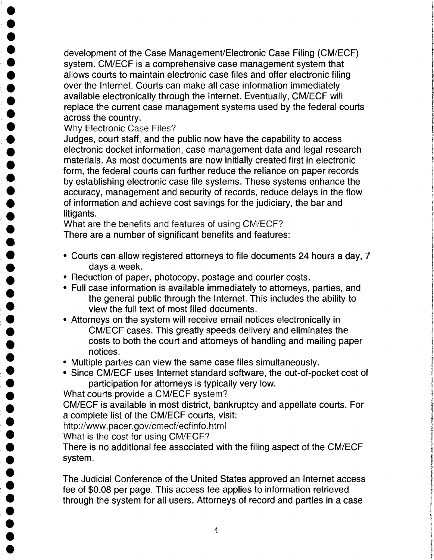development of the Case Management/Electronic Case Filing (CM/ECF) system. CM/ECF is a comprehensive case management system that allows courts to maintain electronic case files and offer electronic 'filing over the Internet. Courts can make all case information immediately available electronically through the Internet. Eventually, CM/ECF will replace the current case management systems used by the federal courts across the country.

Why Electronic Case Files?

• •

•<br>•

**•**<br>• •<br>•<br>•

• • • • • • • • •

• • •

•<br>•

 $\bullet$ 

•<br>•

•<br>•<br>• •<br>•

,.

<del>●</del><br>● •<br>•

•<br>•

• • • •

•<br>•

Judges, court staff, and the public now have the capability to access electronic docket information, case management data and legal research materials. As most documents are now initially created first in electronic form, the federal courts can further reduce the reliance on paper records by establishing electronic case file systems. These systems enhance the accuracy, management and security of records, reduce delays in the flow of information and achieve cost savings for the judiciary, the bar and litigants.

What are the benefits and features of using CM/ECF? There are a number of Significant benefits and features:

- • Courts can allow registered attorneys to file documents 24 hours a day, 7 days a week.
- Reduction of paper, photocopy, postage and courier costs.
- • Full case information is available immediately to attorneys, parties, and the general public through the Internet. This includes the ability to view the full text of most filed documents.
- Attorneys on the system will receive email notices electronically in CM/ECF cases. This greatly speeds delivery and eliminates the costs to both the court and attorneys of handling and mailing pay notices. • costs to both the court and attorneys of handling and mailing paper
- notices. Multiple parties can view the same case files simultaneously.
	- Since CM/ECF uses Internet standard software, the out-of-pocket cost of participation for attorneys is typically very low.

**• Participation for attorneys is typically very low.**<br>
What courts provide a CM/ECF system?<br>
CM/ECF is available in most district, bankruptcy and appellate courts. For a complete list of the CM/ECF courts, visit:

http://www.pacer.gov/cmecf/ecfinfo.html

What is the cost for using CM/ECF?

• There is no additional fee associated with the filing aspect of the CM/ECF ● There is<br>● System.<br>● The luc

• • The Judicial Conference of the United States approved an Internet access through the system for all users. Attorneys of record and parties in a case fee of \$0.08 per page. This access fee applies to information retrieved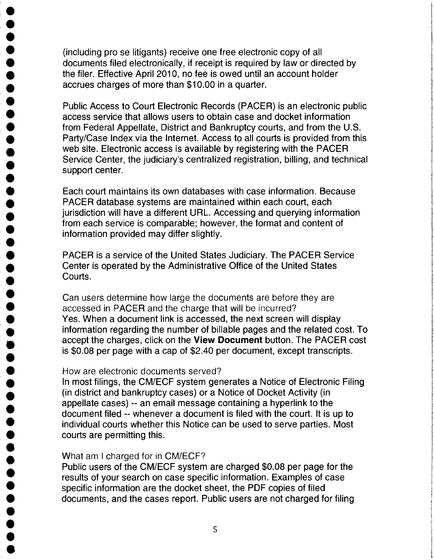(including pro se litigants) receive one free electronic copy of all • documents filed electronically, if receipt is required by law or directed by the filer. Effective April 2010, no fee is owed until an account holder accrues charges of more than \$10.00 in a quarter.

• Public Access to Court Electronic Records (PACER) is an electronic public access service that allows users to obtain case and docket information from Federal Appellate, District and Bankruptcy courts, and from the U.S. Party/Case Index via the Internet. Access to all courts is provided from this web site. Electronic access is available by registering with the PACER Service Center, the judiciary's centralized registration, billing, and technical support center.

Each court maintains its own databases with case information. Because PACER database systems are maintained within each court, each jurisdiction will have a different URL. Accessing and querying information from each service is comparable; however, the format and content of information provided may differ slightly.

PACER is a service of the United States Judiciary. The PACER Service Center is operated by the Administrative Office of the United States Courts.

Can users determine how large the documents are before they are accessed in PACER and the charge that will be incurred? Yes. When a document link is accessed, the next screen will display information regarding the number of billable pages and the related cost. To accept the charges, click on the **View Document** button. The PACER cost is \$0.08 per page with a cap of \$2.40 per document, except transcripts.

# How are electronic documents served?

• • •

•<br>•

**•**<br>• **•**<br>• •<br>•

• • • •

• • • • • •

• • • • •

**•**<br>• •<br>•

• •

•<br>•

**•**<br>• •<br>•

• • • • • • •

In most filings, the CM/ECF system generates a Notice of Electronic Filing (in district and bankruptcy cases) or a Notice of Docket Activity (in appellate cases) -- an email message containing a hyperlink to the document 'filed -- whenever a document is filed with the court. It is up to individual courts whether this Notice can be used to serve parties. Most courts are permitting this.

• What am I charged for in CM/ECF?<br>• Public users of the CM/ECF system<br>• results of your search on case specif Public users of the CM/ECF system are charged \$0.08 per page for the results of your search on case specific information. Examples of case specific information are the docket sheet, the PDF copies of filed documents, and the cases report. Public users are not charged for filing